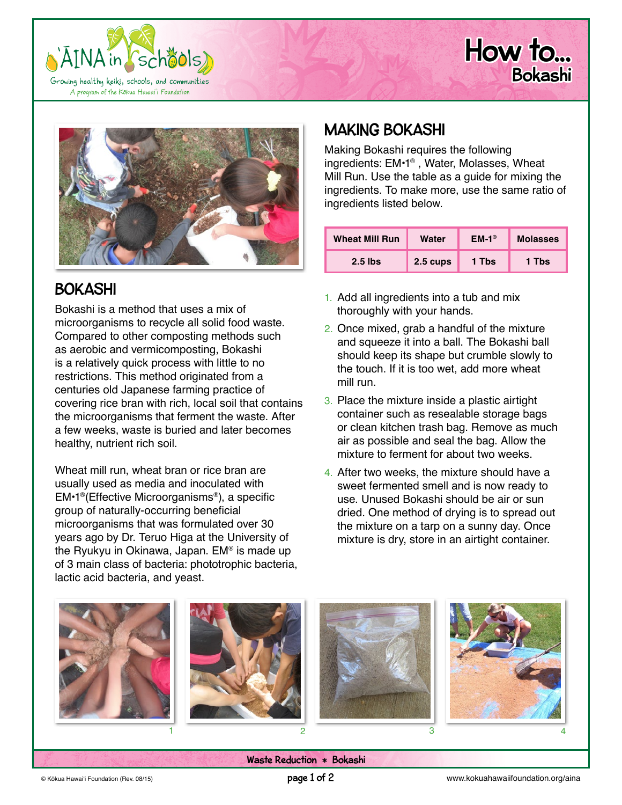





# BOKASHI

Bokashi is a method that uses a mix of microorganisms to recycle all solid food waste. Compared to other composting methods such as aerobic and vermicomposting, Bokashi is a relatively quick process with little to no restrictions. This method originated from a centuries old Japanese farming practice of covering rice bran with rich, local soil that contains the microorganisms that ferment the waste. After a few weeks, waste is buried and later becomes healthy, nutrient rich soil.

Wheat mill run, wheat bran or rice bran are usually used as media and inoculated with EM•1®(Effective Microorganisms®), a specific group of naturally-occurring beneficial microorganisms that was formulated over 30 years ago by Dr. Teruo Higa at the University of the Ryukyu in Okinawa, Japan. EM® is made up of 3 main class of bacteria: phototrophic bacteria, lactic acid bacteria, and yeast.

## MAKING BOKASHI

Making Bokashi requires the following ingredients: EM•1® , Water, Molasses, Wheat Mill Run. Use the table as a guide for mixing the ingredients. To make more, use the same ratio of ingredients listed below.

| <b>Wheat Mill Run</b> | Water    | $EM-1®$ | <b>Molasses</b> |
|-----------------------|----------|---------|-----------------|
| $2.5$ lbs             | 2.5 cups | 1 Tbs   | 1 Tbs           |

- 1. Add all ingredients into a tub and mix thoroughly with your hands.
- 2. Once mixed, grab a handful of the mixture and squeeze it into a ball. The Bokashi ball should keep its shape but crumble slowly to the touch. If it is too wet, add more wheat mill run.
- 3. Place the mixture inside a plastic airtight container such as resealable storage bags or clean kitchen trash bag. Remove as much air as possible and seal the bag. Allow the mixture to ferment for about two weeks.
- 4. After two weeks, the mixture should have a sweet fermented smell and is now ready to use. Unused Bokashi should be air or sun dried. One method of drying is to spread out the mixture on a tarp on a sunny day. Once mixture is dry, store in an airtight container.



Waste Reduction \* Bokashi